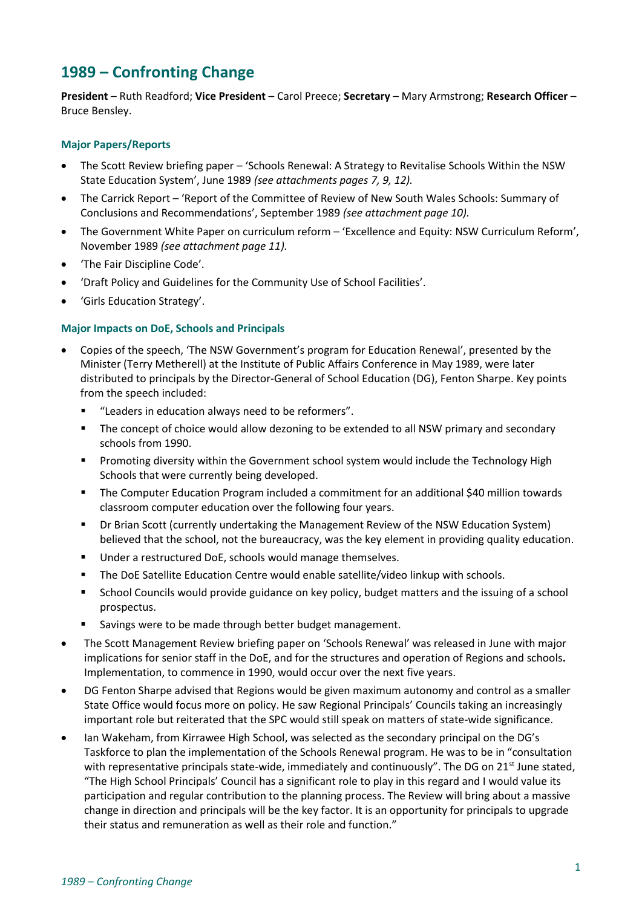# **1989 – Confronting Change**

**President** – Ruth Readford; **Vice President** – Carol Preece; **Secretary** – Mary Armstrong; **Research Officer** – Bruce Bensley.

# **Major Papers/Reports**

- The Scott Review briefing paper 'Schools Renewal: A Strategy to Revitalise Schools Within the NSW State Education System', June 1989 *(see attachments pages 7, 9, 12).*
- The Carrick Report 'Report of the Committee of Review of New South Wales Schools: Summary of Conclusions and Recommendations', September 1989 *(see attachment page 10).*
- The Government White Paper on curriculum reform 'Excellence and Equity: NSW Curriculum Reform', November 1989 *(see attachment page 11).*
- 'The Fair Discipline Code'.
- 'Draft Policy and Guidelines for the Community Use of School Facilities'.
- 'Girls Education Strategy'.

# **Major Impacts on DoE, Schools and Principals**

- Copies of the speech, 'The NSW Government's program for Education Renewal', presented by the Minister (Terry Metherell) at the Institute of Public Affairs Conference in May 1989, were later distributed to principals by the Director-General of School Education (DG), Fenton Sharpe. Key points from the speech included:
	- "Leaders in education always need to be reformers".
	- The concept of choice would allow dezoning to be extended to all NSW primary and secondary schools from 1990.
	- **•** Promoting diversity within the Government school system would include the Technology High Schools that were currently being developed.
	- The Computer Education Program included a commitment for an additional \$40 million towards classroom computer education over the following four years.
	- Dr Brian Scott (currently undertaking the Management Review of the NSW Education System) believed that the school, not the bureaucracy, was the key element in providing quality education.
	- Under a restructured DoE, schools would manage themselves.
	- The DoE Satellite Education Centre would enable satellite/video linkup with schools.
	- School Councils would provide guidance on key policy, budget matters and the issuing of a school prospectus.
	- Savings were to be made through better budget management.
- The Scott Management Review briefing paper on 'Schools Renewal' was released in June with major implications for senior staff in the DoE, and for the structures and operation of Regions and schools**.**  Implementation, to commence in 1990, would occur over the next five years.
- DG Fenton Sharpe advised that Regions would be given maximum autonomy and control as a smaller State Office would focus more on policy. He saw Regional Principals' Councils taking an increasingly important role but reiterated that the SPC would still speak on matters of state-wide significance.
- Ian Wakeham, from Kirrawee High School, was selected as the secondary principal on the DG's Taskforce to plan the implementation of the Schools Renewal program. He was to be in "consultation with representative principals state-wide, immediately and continuously". The DG on 21<sup>st</sup> June stated, "The High School Principals' Council has a significant role to play in this regard and I would value its participation and regular contribution to the planning process. The Review will bring about a massive change in direction and principals will be the key factor. It is an opportunity for principals to upgrade their status and remuneration as well as their role and function."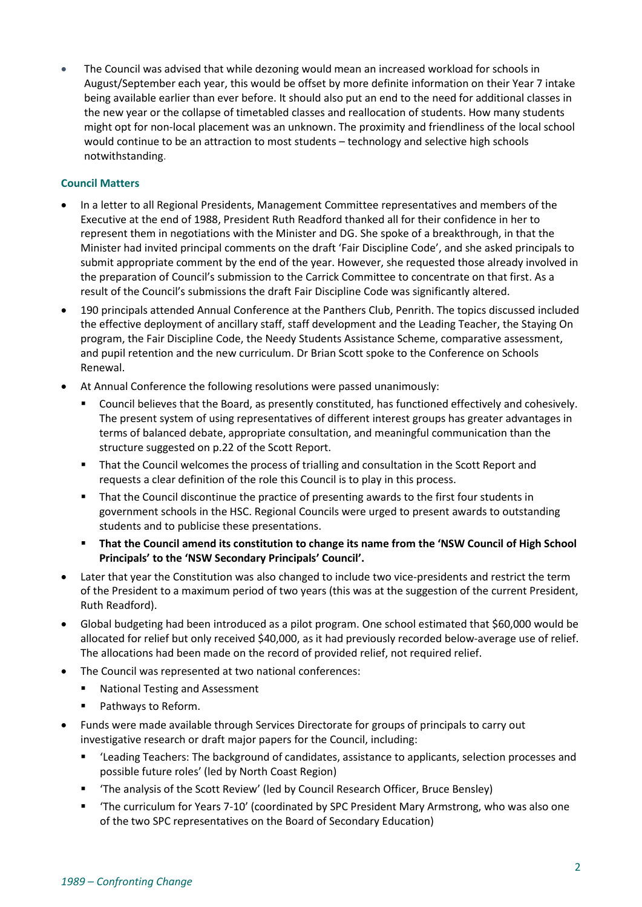• The Council was advised that while dezoning would mean an increased workload for schools in August/September each year, this would be offset by more definite information on their Year 7 intake being available earlier than ever before. It should also put an end to the need for additional classes in the new year or the collapse of timetabled classes and reallocation of students. How many students might opt for non-local placement was an unknown. The proximity and friendliness of the local school would continue to be an attraction to most students – technology and selective high schools notwithstanding.

# **Council Matters**

- In a letter to all Regional Presidents, Management Committee representatives and members of the Executive at the end of 1988, President Ruth Readford thanked all for their confidence in her to represent them in negotiations with the Minister and DG. She spoke of a breakthrough, in that the Minister had invited principal comments on the draft 'Fair Discipline Code', and she asked principals to submit appropriate comment by the end of the year. However, she requested those already involved in the preparation of Council's submission to the Carrick Committee to concentrate on that first. As a result of the Council's submissions the draft Fair Discipline Code was significantly altered.
- 190 principals attended Annual Conference at the Panthers Club, Penrith. The topics discussed included the effective deployment of ancillary staff, staff development and the Leading Teacher, the Staying On program, the Fair Discipline Code, the Needy Students Assistance Scheme, comparative assessment, and pupil retention and the new curriculum. Dr Brian Scott spoke to the Conference on Schools Renewal.
- At Annual Conference the following resolutions were passed unanimously:
	- Council believes that the Board, as presently constituted, has functioned effectively and cohesively. The present system of using representatives of different interest groups has greater advantages in terms of balanced debate, appropriate consultation, and meaningful communication than the structure suggested on p.22 of the Scott Report.
	- That the Council welcomes the process of trialling and consultation in the Scott Report and requests a clear definition of the role this Council is to play in this process.
	- That the Council discontinue the practice of presenting awards to the first four students in government schools in the HSC. Regional Councils were urged to present awards to outstanding students and to publicise these presentations.
	- **That the Council amend its constitution to change its name from the 'NSW Council of High School Principals' to the 'NSW Secondary Principals' Council'.**
- Later that year the Constitution was also changed to include two vice-presidents and restrict the term of the President to a maximum period of two years (this was at the suggestion of the current President, Ruth Readford).
- Global budgeting had been introduced as a pilot program. One school estimated that \$60,000 would be allocated for relief but only received \$40,000, as it had previously recorded below-average use of relief. The allocations had been made on the record of provided relief, not required relief.
- The Council was represented at two national conferences:
	- **National Testing and Assessment**
	- Pathways to Reform.
- Funds were made available through Services Directorate for groups of principals to carry out investigative research or draft major papers for the Council, including:
	- 'Leading Teachers: The background of candidates, assistance to applicants, selection processes and possible future roles' (led by North Coast Region)
	- 'The analysis of the Scott Review' (led by Council Research Officer, Bruce Bensley)
	- The curriculum for Years 7-10' (coordinated by SPC President Mary Armstrong, who was also one of the two SPC representatives on the Board of Secondary Education)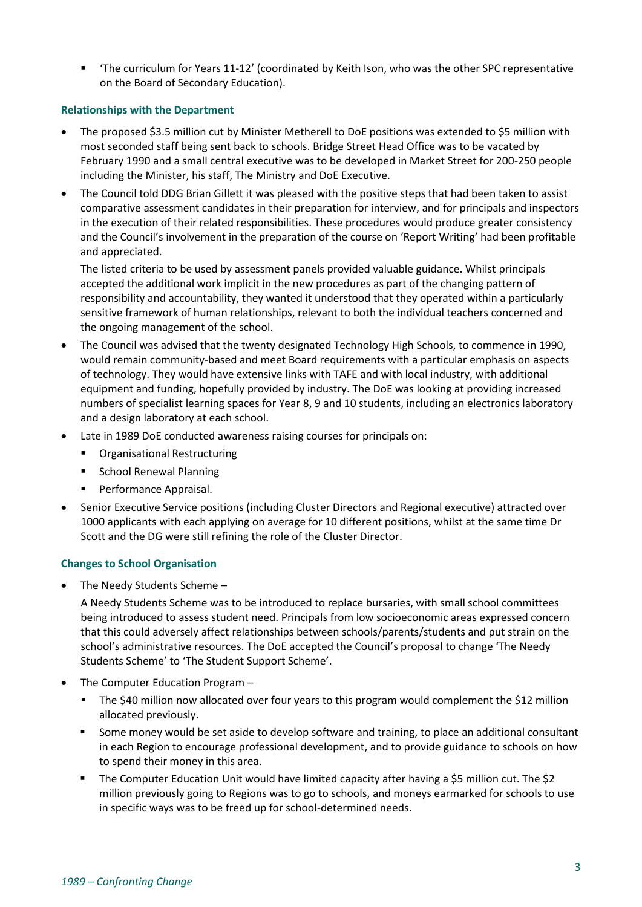■ The curriculum for Years 11-12' (coordinated by Keith Ison, who was the other SPC representative on the Board of Secondary Education).

# **Relationships with the Department**

- The proposed \$3.5 million cut by Minister Metherell to DoE positions was extended to \$5 million with most seconded staff being sent back to schools. Bridge Street Head Office was to be vacated by February 1990 and a small central executive was to be developed in Market Street for 200-250 people including the Minister, his staff, The Ministry and DoE Executive.
- The Council told DDG Brian Gillett it was pleased with the positive steps that had been taken to assist comparative assessment candidates in their preparation for interview, and for principals and inspectors in the execution of their related responsibilities. These procedures would produce greater consistency and the Council's involvement in the preparation of the course on 'Report Writing' had been profitable and appreciated.

The listed criteria to be used by assessment panels provided valuable guidance. Whilst principals accepted the additional work implicit in the new procedures as part of the changing pattern of responsibility and accountability, they wanted it understood that they operated within a particularly sensitive framework of human relationships, relevant to both the individual teachers concerned and the ongoing management of the school.

- The Council was advised that the twenty designated Technology High Schools, to commence in 1990, would remain community-based and meet Board requirements with a particular emphasis on aspects of technology. They would have extensive links with TAFE and with local industry, with additional equipment and funding, hopefully provided by industry. The DoE was looking at providing increased numbers of specialist learning spaces for Year 8, 9 and 10 students, including an electronics laboratory and a design laboratory at each school.
- Late in 1989 DoE conducted awareness raising courses for principals on:
	- Organisational Restructuring
	- School Renewal Planning
	- Performance Appraisal.
- Senior Executive Service positions (including Cluster Directors and Regional executive) attracted over 1000 applicants with each applying on average for 10 different positions, whilst at the same time Dr Scott and the DG were still refining the role of the Cluster Director.

## **Changes to School Organisation**

• The Needy Students Scheme –

A Needy Students Scheme was to be introduced to replace bursaries, with small school committees being introduced to assess student need. Principals from low socioeconomic areas expressed concern that this could adversely affect relationships between schools/parents/students and put strain on the school's administrative resources. The DoE accepted the Council's proposal to change 'The Needy Students Scheme' to 'The Student Support Scheme'.

- The Computer Education Program
	- The \$40 million now allocated over four years to this program would complement the \$12 million allocated previously.
	- Some money would be set aside to develop software and training, to place an additional consultant in each Region to encourage professional development, and to provide guidance to schools on how to spend their money in this area.
	- The Computer Education Unit would have limited capacity after having a \$5 million cut. The \$2 million previously going to Regions was to go to schools, and moneys earmarked for schools to use in specific ways was to be freed up for school-determined needs.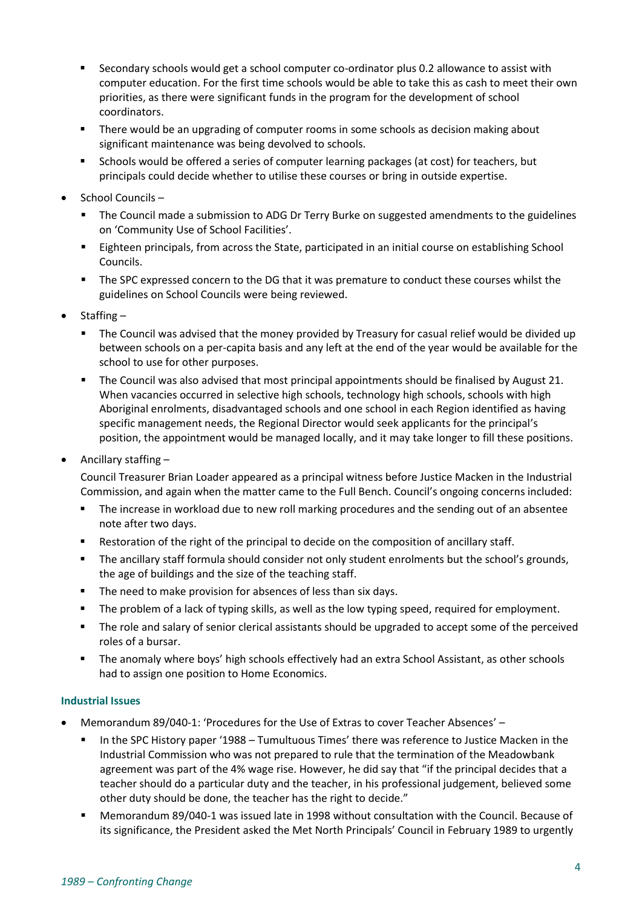- Secondary schools would get a school computer co-ordinator plus 0.2 allowance to assist with computer education. For the first time schools would be able to take this as cash to meet their own priorities, as there were significant funds in the program for the development of school coordinators.
- There would be an upgrading of computer rooms in some schools as decision making about significant maintenance was being devolved to schools.
- Schools would be offered a series of computer learning packages (at cost) for teachers, but principals could decide whether to utilise these courses or bring in outside expertise.
- School Councils
	- **•** The Council made a submission to ADG Dr Terry Burke on suggested amendments to the guidelines on 'Community Use of School Facilities'.
	- Eighteen principals, from across the State, participated in an initial course on establishing School Councils.
	- The SPC expressed concern to the DG that it was premature to conduct these courses whilst the guidelines on School Councils were being reviewed.
- Staffing
	- The Council was advised that the money provided by Treasury for casual relief would be divided up between schools on a per-capita basis and any left at the end of the year would be available for the school to use for other purposes.
	- **•** The Council was also advised that most principal appointments should be finalised by August 21. When vacancies occurred in selective high schools, technology high schools, schools with high Aboriginal enrolments, disadvantaged schools and one school in each Region identified as having specific management needs, the Regional Director would seek applicants for the principal's position, the appointment would be managed locally, and it may take longer to fill these positions.
- Ancillary staffing –

Council Treasurer Brian Loader appeared as a principal witness before Justice Macken in the Industrial Commission, and again when the matter came to the Full Bench. Council's ongoing concerns included:

- The increase in workload due to new roll marking procedures and the sending out of an absentee note after two days.
- Restoration of the right of the principal to decide on the composition of ancillary staff.
- The ancillary staff formula should consider not only student enrolments but the school's grounds, the age of buildings and the size of the teaching staff.
- The need to make provision for absences of less than six days.
- The problem of a lack of typing skills, as well as the low typing speed, required for employment.
- The role and salary of senior clerical assistants should be upgraded to accept some of the perceived roles of a bursar.
- The anomaly where boys' high schools effectively had an extra School Assistant, as other schools had to assign one position to Home Economics.

## **Industrial Issues**

- Memorandum 89/040-1: 'Procedures for the Use of Extras to cover Teacher Absences'
	- In the SPC History paper '1988 Tumultuous Times' there was reference to Justice Macken in the Industrial Commission who was not prepared to rule that the termination of the Meadowbank agreement was part of the 4% wage rise. However, he did say that "if the principal decides that a teacher should do a particular duty and the teacher, in his professional judgement, believed some other duty should be done, the teacher has the right to decide."
	- Memorandum 89/040-1 was issued late in 1998 without consultation with the Council. Because of its significance, the President asked the Met North Principals' Council in February 1989 to urgently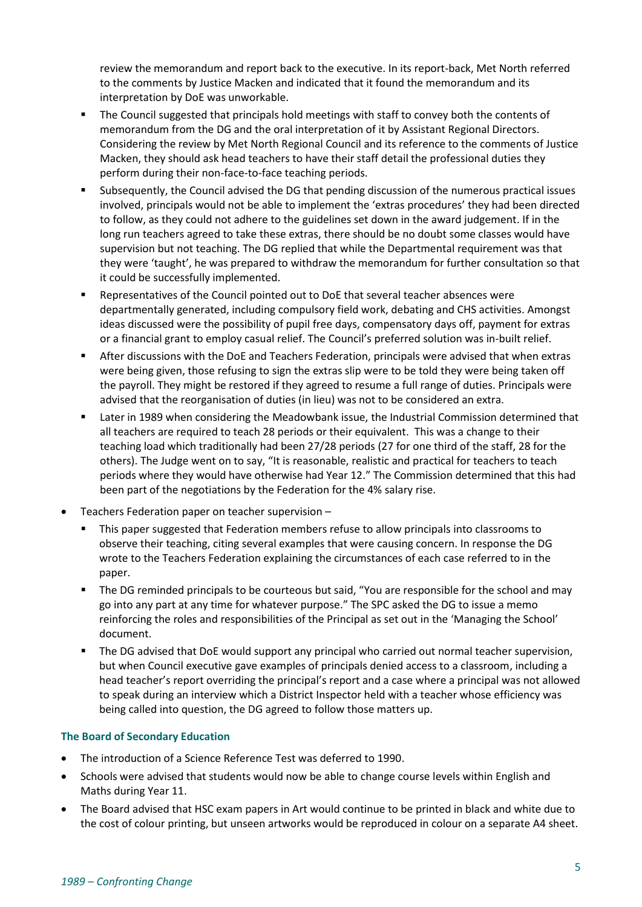review the memorandum and report back to the executive. In its report-back, Met North referred to the comments by Justice Macken and indicated that it found the memorandum and its interpretation by DoE was unworkable.

- The Council suggested that principals hold meetings with staff to convey both the contents of memorandum from the DG and the oral interpretation of it by Assistant Regional Directors. Considering the review by Met North Regional Council and its reference to the comments of Justice Macken, they should ask head teachers to have their staff detail the professional duties they perform during their non-face-to-face teaching periods.
- Subsequently, the Council advised the DG that pending discussion of the numerous practical issues involved, principals would not be able to implement the 'extras procedures' they had been directed to follow, as they could not adhere to the guidelines set down in the award judgement. If in the long run teachers agreed to take these extras, there should be no doubt some classes would have supervision but not teaching. The DG replied that while the Departmental requirement was that they were 'taught', he was prepared to withdraw the memorandum for further consultation so that it could be successfully implemented.
- Representatives of the Council pointed out to DoE that several teacher absences were departmentally generated, including compulsory field work, debating and CHS activities. Amongst ideas discussed were the possibility of pupil free days, compensatory days off, payment for extras or a financial grant to employ casual relief. The Council's preferred solution was in-built relief.
- **EXECT After discussions with the DoE and Teachers Federation, principals were advised that when extras** were being given, those refusing to sign the extras slip were to be told they were being taken off the payroll. They might be restored if they agreed to resume a full range of duties. Principals were advised that the reorganisation of duties (in lieu) was not to be considered an extra.
- Later in 1989 when considering the Meadowbank issue, the Industrial Commission determined that all teachers are required to teach 28 periods or their equivalent. This was a change to their teaching load which traditionally had been 27/28 periods (27 for one third of the staff, 28 for the others). The Judge went on to say, "It is reasonable, realistic and practical for teachers to teach periods where they would have otherwise had Year 12." The Commission determined that this had been part of the negotiations by the Federation for the 4% salary rise.
- Teachers Federation paper on teacher supervision
	- This paper suggested that Federation members refuse to allow principals into classrooms to observe their teaching, citing several examples that were causing concern. In response the DG wrote to the Teachers Federation explaining the circumstances of each case referred to in the paper.
	- The DG reminded principals to be courteous but said, "You are responsible for the school and may go into any part at any time for whatever purpose." The SPC asked the DG to issue a memo reinforcing the roles and responsibilities of the Principal as set out in the 'Managing the School' document.
	- The DG advised that DoE would support any principal who carried out normal teacher supervision, but when Council executive gave examples of principals denied access to a classroom, including a head teacher's report overriding the principal's report and a case where a principal was not allowed to speak during an interview which a District Inspector held with a teacher whose efficiency was being called into question, the DG agreed to follow those matters up.

## **The Board of Secondary Education**

- The introduction of a Science Reference Test was deferred to 1990.
- Schools were advised that students would now be able to change course levels within English and Maths during Year 11.
- The Board advised that HSC exam papers in Art would continue to be printed in black and white due to the cost of colour printing, but unseen artworks would be reproduced in colour on a separate A4 sheet.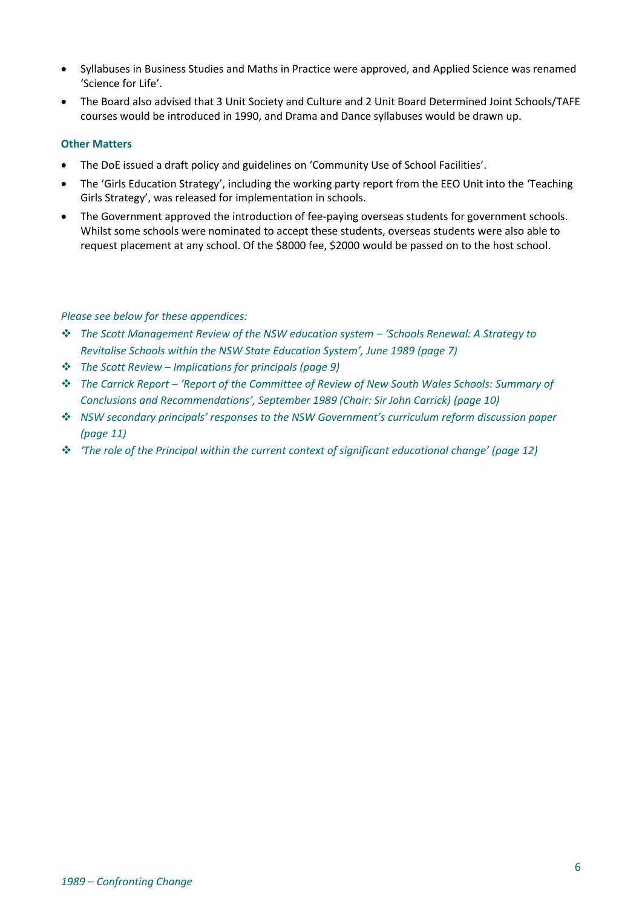- Syllabuses in Business Studies and Maths in Practice were approved, and Applied Science was renamed 'Science for Life'.
- The Board also advised that 3 Unit Society and Culture and 2 Unit Board Determined Joint Schools/TAFE courses would be introduced in 1990, and Drama and Dance syllabuses would be drawn up.

# **Other Matters**

- The DoE issued a draft policy and guidelines on 'Community Use of School Facilities'.
- The 'Girls Education Strategy', including the working party report from the EEO Unit into the 'Teaching Girls Strategy', was released for implementation in schools.
- The Government approved the introduction of fee-paying overseas students for government schools. Whilst some schools were nominated to accept these students, overseas students were also able to request placement at any school. Of the \$8000 fee, \$2000 would be passed on to the host school.

# *Please see below for these appendices:*

- ❖ *The Scott Management Review of the NSW education system – 'Schools Renewal: A Strategy to Revitalise Schools within the NSW State Education System', June 1989 (page 7)*
- ❖ *The Scott Review – Implications for principals (page 9)*
- ❖ *The Carrick Report – 'Report of the Committee of Review of New South Wales Schools: Summary of Conclusions and Recommendations', September 1989 (Chair: Sir John Carrick) (page 10)*
- ❖ *NSW secondary principals' responses to the NSW Government's curriculum reform discussion paper (page 11)*
- ❖ *'The role of the Principal within the current context of significant educational change' (page 12)*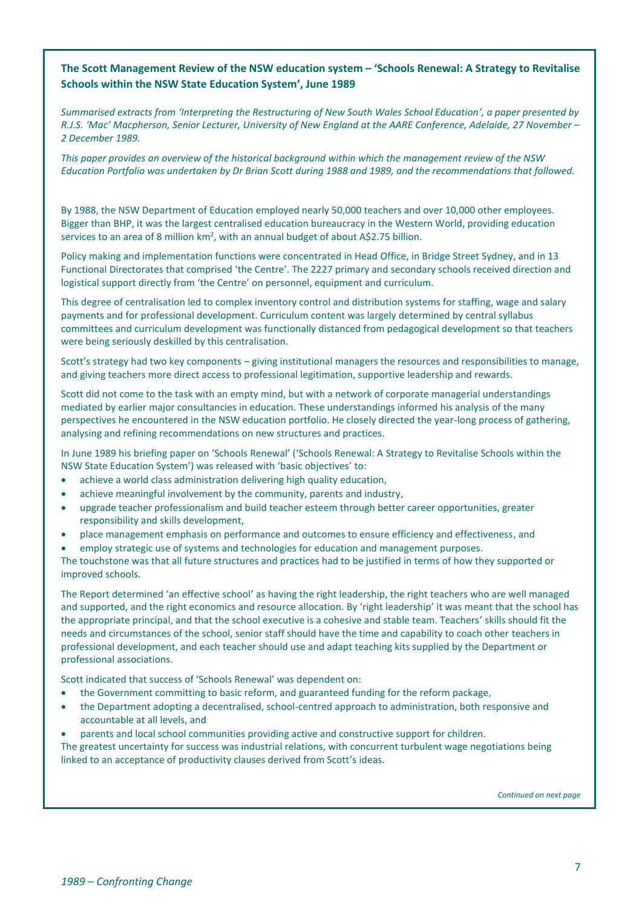# **The Scott Management Review of the NSW education system – 'Schools Renewal: A Strategy to Revitalise Schools within the NSW State Education System', June 1989**

*Summarised extracts from 'Interpreting the Restructuring of New South Wales School Education', a paper presented by R.J.S. 'Mac' Macpherson, Senior Lecturer, University of New England at the AARE Conference, Adelaide, 27 November – 2 December 1989.*

*This paper provides an overview of the historical background within which the management review of the NSW Education Portfolio was undertaken by Dr Brian Scott during 1988 and 1989, and the recommendations that followed.*

By 1988, the NSW Department of Education employed nearly 50,000 teachers and over 10,000 other employees. Bigger than BHP, it was the largest centralised education bureaucracy in the Western World, providing education services to an area of 8 million km<sup>2</sup>, with an annual budget of about A\$2.75 billion.

Policy making and implementation functions were concentrated in Head Office, in Bridge Street Sydney, and in 13 Functional Directorates that comprised 'the Centre'. The 2227 primary and secondary schools received direction and logistical support directly from 'the Centre' on personnel, equipment and curriculum.

This degree of centralisation led to complex inventory control and distribution systems for staffing, wage and salary payments and for professional development. Curriculum content was largely determined by central syllabus committees and curriculum development was functionally distanced from pedagogical development so that teachers were being seriously deskilled by this centralisation.

Scott's strategy had two key components – giving institutional managers the resources and responsibilities to manage, and giving teachers more direct access to professional legitimation, supportive leadership and rewards.

Scott did not come to the task with an empty mind, but with a network of corporate managerial understandings mediated by earlier major consultancies in education. These understandings informed his analysis of the many perspectives he encountered in the NSW education portfolio. He closely directed the year-long process of gathering, analysing and refining recommendations on new structures and practices.

In June 1989 his briefing paper on 'Schools Renewal' ('Schools Renewal: A Strategy to Revitalise Schools within the NSW State Education System') was released with 'basic objectives' to:

- achieve a world class administration delivering high quality education,
- achieve meaningful involvement by the community, parents and industry,
- upgrade teacher professionalism and build teacher esteem through better career opportunities, greater responsibility and skills development,
- place management emphasis on performance and outcomes to ensure efficiency and effectiveness, and
- employ strategic use of systems and technologies for education and management purposes.

The touchstone was that all future structures and practices had to be justified in terms of how they supported or improved schools.

The Report determined 'an effective school' as having the right leadership, the right teachers who are well managed and supported, and the right economics and resource allocation. By 'right leadership' it was meant that the school has the appropriate principal, and that the school executive is a cohesive and stable team. Teachers' skills should fit the needs and circumstances of the school, senior staff should have the time and capability to coach other teachers in professional development, and each teacher should use and adapt teaching kits supplied by the Department or professional associations.

Scott indicated that success of 'Schools Renewal' was dependent on:

- the Government committing to basic reform, and guaranteed funding for the reform package,
- the Department adopting a decentralised, school-centred approach to administration, both responsive and accountable at all levels, and
- parents and local school communities providing active and constructive support for children.

The greatest uncertainty for success was industrial relations, with concurrent turbulent wage negotiations being linked to an acceptance of productivity clauses derived from Scott's ideas.

*Continued on next page*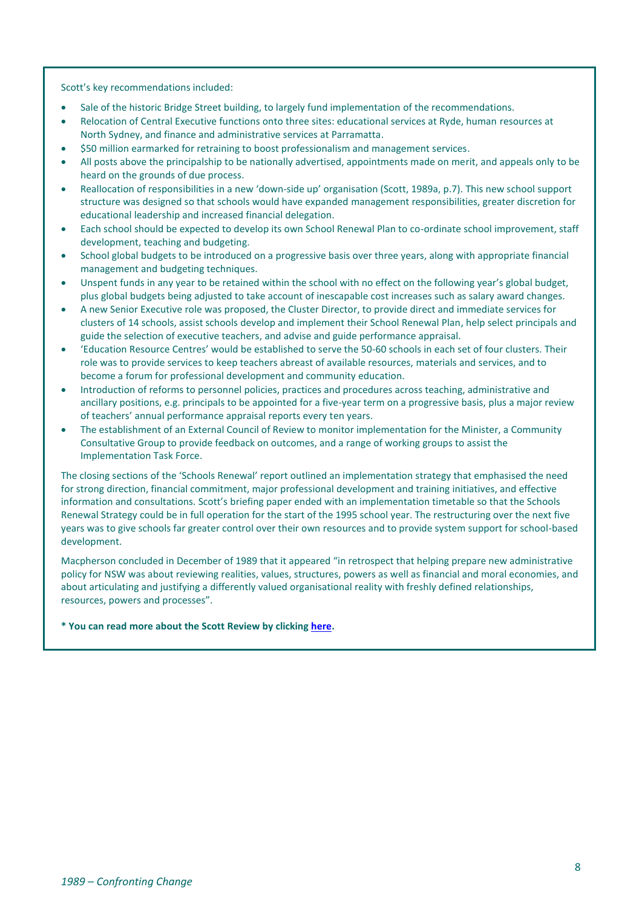Scott's key recommendations included:

- Sale of the historic Bridge Street building, to largely fund implementation of the recommendations.
- Relocation of Central Executive functions onto three sites: educational services at Ryde, human resources at North Sydney, and finance and administrative services at Parramatta.
- \$50 million earmarked for retraining to boost professionalism and management services.
- All posts above the principalship to be nationally advertised, appointments made on merit, and appeals only to be heard on the grounds of due process.
- Reallocation of responsibilities in a new 'down-side up' organisation (Scott, 1989a, p.7). This new school support structure was designed so that schools would have expanded management responsibilities, greater discretion for educational leadership and increased financial delegation.
- Each school should be expected to develop its own School Renewal Plan to co-ordinate school improvement, staff development, teaching and budgeting.
- School global budgets to be introduced on a progressive basis over three years, along with appropriate financial management and budgeting techniques.
- Unspent funds in any year to be retained within the school with no effect on the following year's global budget, plus global budgets being adjusted to take account of inescapable cost increases such as salary award changes.
- A new Senior Executive role was proposed, the Cluster Director, to provide direct and immediate services for clusters of 14 schools, assist schools develop and implement their School Renewal Plan, help select principals and guide the selection of executive teachers, and advise and guide performance appraisal.
- 'Education Resource Centres' would be established to serve the 50-60 schools in each set of four clusters. Their role was to provide services to keep teachers abreast of available resources, materials and services, and to become a forum for professional development and community education.
- Introduction of reforms to personnel policies, practices and procedures across teaching, administrative and ancillary positions, e.g. principals to be appointed for a five-year term on a progressive basis, plus a major review of teachers' annual performance appraisal reports every ten years.
- The establishment of an External Council of Review to monitor implementation for the Minister, a Community Consultative Group to provide feedback on outcomes, and a range of working groups to assist the Implementation Task Force.

The closing sections of the 'Schools Renewal' report outlined an implementation strategy that emphasised the need for strong direction, financial commitment, major professional development and training initiatives, and effective information and consultations. Scott's briefing paper ended with an implementation timetable so that the Schools Renewal Strategy could be in full operation for the start of the 1995 school year. The restructuring over the next five years was to give schools far greater control over their own resources and to provide system support for school-based development.

Macpherson concluded in December of 1989 that it appeared "in retrospect that helping prepare new administrative policy for NSW was about reviewing realities, values, structures, powers as well as financial and moral economies, and about articulating and justifying a differently valued organisational reality with freshly defined relationships, resources, powers and processes".

**\* You can read more about the Scott Review by clickin[g here.](https://www.aare.edu.au/data/publications/1989/macpr89088.pdf)**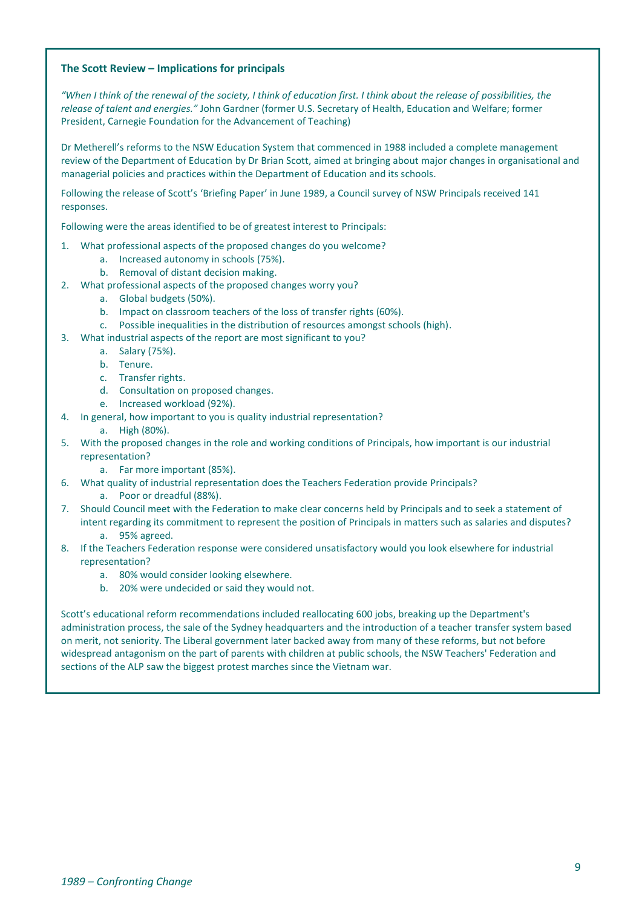#### **The Scott Review – Implications for principals**

"When I think of the renewal of the society, I think of education first. I think about the release of possibilities, the *release of talent and energies."* John Gardner (former U.S. Secretary of Health, Education and Welfare; former President, Carnegie Foundation for the Advancement of Teaching)

Dr Metherell's reforms to the NSW Education System that commenced in 1988 included a complete management review of the Department of Education by Dr Brian Scott, aimed at bringing about major changes in organisational and managerial policies and practices within the Department of Education and its schools.

Following the release of Scott's 'Briefing Paper' in June 1989, a Council survey of NSW Principals received 141 responses.

Following were the areas identified to be of greatest interest to Principals:

- 1. What professional aspects of the proposed changes do you welcome?
	- a. Increased autonomy in schools (75%).
	- b. Removal of distant decision making.
- 2. What professional aspects of the proposed changes worry you?
	- a. Global budgets (50%).
	- b. Impact on classroom teachers of the loss of transfer rights (60%).
	- c. Possible inequalities in the distribution of resources amongst schools (high).
- 3. What industrial aspects of the report are most significant to you?
	- a. Salary (75%).
		- b. Tenure.
		- c. Transfer rights.
		- d. Consultation on proposed changes.
		- e. Increased workload (92%).
- 4. In general, how important to you is quality industrial representation?
	- a. High (80%).
- 5. With the proposed changes in the role and working conditions of Principals, how important is our industrial representation?
	- a. Far more important (85%).
- 6. What quality of industrial representation does the Teachers Federation provide Principals?
	- a. Poor or dreadful (88%).
- 7. Should Council meet with the Federation to make clear concerns held by Principals and to seek a statement of intent regarding its commitment to represent the position of Principals in matters such as salaries and disputes? a. 95% agreed.
- 8. If the Teachers Federation response were considered unsatisfactory would you look elsewhere for industrial representation?
	- a. 80% would consider looking elsewhere.
	- b. 20% were undecided or said they would not.

Scott's educational reform recommendations included reallocating 600 jobs, breaking up the Department's administration process, the sale of the Sydney headquarters and the introduction of a teacher transfer system based on merit, not seniority. The Liberal government later backed away from many of these reforms, but not before widespread antagonism on the part of parents with children at public schools, the NSW Teachers' Federation and sections of the ALP saw the biggest protest marches since the Vietnam war.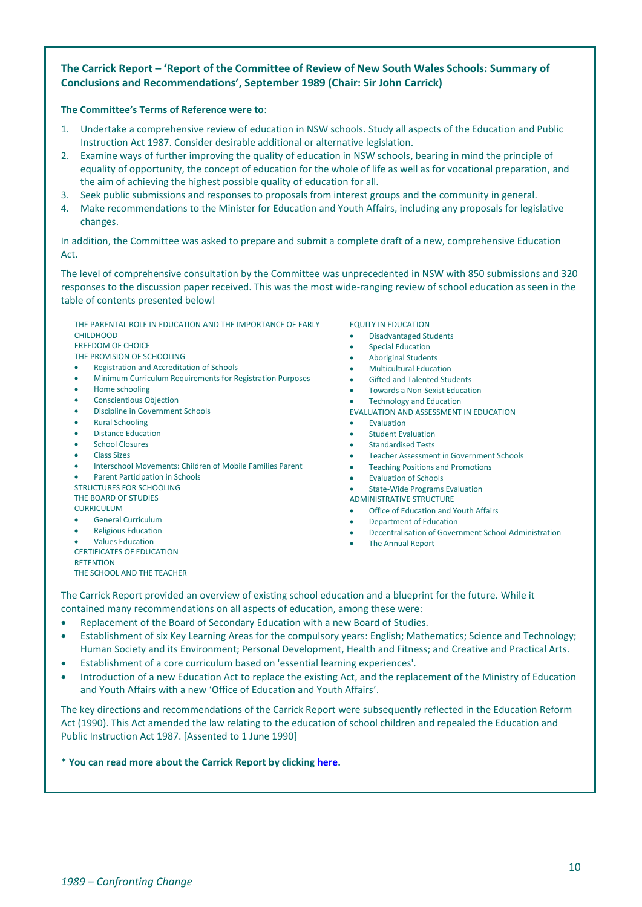# **The Carrick Report – 'Report of the Committee of Review of New South Wales Schools: Summary of Conclusions and Recommendations', September 1989 (Chair: Sir John Carrick)**

#### **The Committee's Terms of Reference were to**:

- 1. Undertake a comprehensive review of education in NSW schools. Study all aspects of the Education and Public Instruction Act 1987. Consider desirable additional or alternative legislation.
- 2. Examine ways of further improving the quality of education in NSW schools, bearing in mind the principle of equality of opportunity, the concept of education for the whole of life as well as for vocational preparation, and the aim of achieving the highest possible quality of education for all.
- 3. Seek public submissions and responses to proposals from interest groups and the community in general.
- 4. Make recommendations to the Minister for Education and Youth Affairs, including any proposals for legislative changes.

In addition, the Committee was asked to prepare and submit a complete draft of a new, comprehensive Education Act.

The level of comprehensive consultation by the Committee was unprecedented in NSW with 850 submissions and 320 responses to the discussion paper received. This was the most wide-ranging review of school education as seen in the table of contents presented below!

THE PARENTAL ROLE IN EDUCATION AND THE IMPORTANCE OF EARLY **CHILDHOOD** 

FREEDOM OF CHOICE

- THE PROVISION OF SCHOOLING • Registration and Accreditation of Schools
- Minimum Curriculum Requirements for Registration Purposes
- Home schooling
- Conscientious Objection
- Discipline in Government Schools
- Rural Schooling
- Distance Education
- School Closures
- Class Sizes
- Interschool Movements: Children of Mobile Families Parent
- Parent Participation in Schools

STRUCTURES FOR SCHOOLING THE BOARD OF STUDIES

**CURRICULUM** 

- General Curriculum
- Religious Education

• Values Education CERTIFICATES OF EDUCATION **RETENTION** THE SCHOOL AND THE TEACHER EQUITY IN EDUCATION

- Disadvantaged Students
- **Special Education**
- Aboriginal Students
- Multicultural Education
- Gifted and Talented Students
- Towards a Non-Sexist Education
- Technology and Education
- EVALUATION AND ASSESSMENT IN EDUCATION
- **Fyaluation**
- Student Evaluation
- Standardised Tests
- Teacher Assessment in Government Schools
- Teaching Positions and Promotions
- Evaluation of Schools
- **State-Wide Programs Evaluation**

ADMINISTRATIVE STRUCTURE

- Office of Education and Youth Affairs
- Department of Education
- Decentralisation of Government School Administration
- The Annual Report

The Carrick Report provided an overview of existing school education and a blueprint for the future. While it contained many recommendations on all aspects of education, among these were:

- Replacement of the Board of Secondary Education with a new Board of Studies.
- Establishment of six Key Learning Areas for the compulsory years: English; Mathematics; Science and Technology; Human Society and its Environment; Personal Development, Health and Fitness; and Creative and Practical Arts.
- Establishment of a core curriculum based on 'essential learning experiences'.
- Introduction of a new Education Act to replace the existing Act, and the replacement of the Ministry of Education and Youth Affairs with a new 'Office of Education and Youth Affairs'.

The key directions and recommendations of the Carrick Report were subsequently reflected in the Education Reform Act (1990). This Act amended the law relating to the education of school children and repealed the Education and Public Instruction Act 1987. [Assented to 1 June 1990]

#### **\* You can read more about the Carrick Report by clickin[g here.](http://web.education.unimelb.edu.au/curriculumpoliciesproject/Reports/download/NSW-1995-CarrickReport1989.pdf#:~:text=Carrick%20Report%20%281989%29%20%E2%80%93%20NSW%20%E2%80%93%201995%20Page,%28both%20government%20and%20non-%20government%29%20should%20be%20registered.)**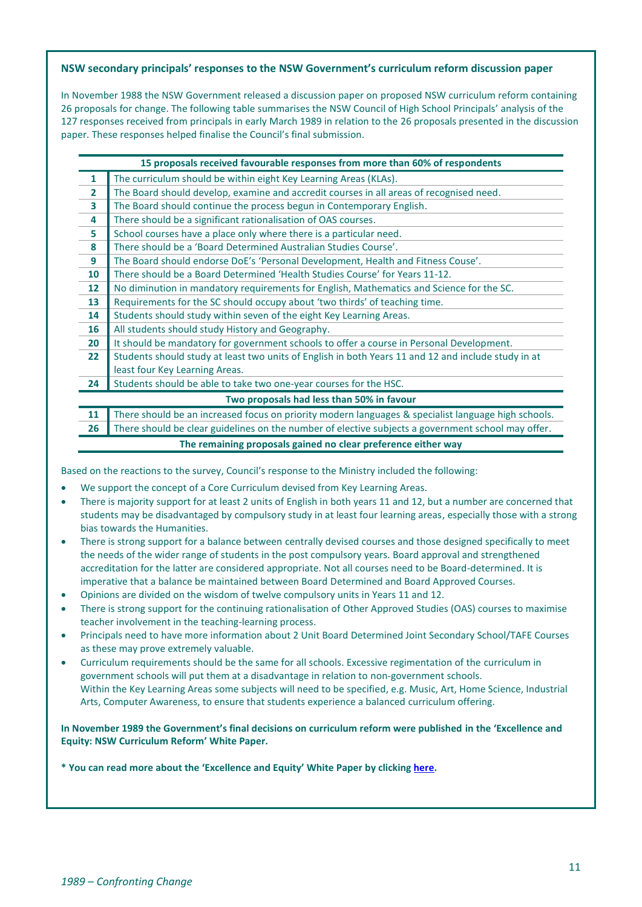## **NSW secondary principals' responses to the NSW Government's curriculum reform discussion paper**

In November 1988 the NSW Government released a discussion paper on proposed NSW curriculum reform containing 26 proposals for change. The following table summarises the NSW Council of High School Principals' analysis of the 127 responses received from principals in early March 1989 in relation to the 26 proposals presented in the discussion paper. These responses helped finalise the Council's final submission.

| 15 proposals received favourable responses from more than 60% of respondents |                                                                                                     |
|------------------------------------------------------------------------------|-----------------------------------------------------------------------------------------------------|
| $\mathbf{1}$                                                                 | The curriculum should be within eight Key Learning Areas (KLAs).                                    |
| $\overline{2}$                                                               | The Board should develop, examine and accredit courses in all areas of recognised need.             |
| 3                                                                            | The Board should continue the process begun in Contemporary English.                                |
| 4                                                                            | There should be a significant rationalisation of OAS courses.                                       |
| 5                                                                            | School courses have a place only where there is a particular need.                                  |
| 8                                                                            | There should be a 'Board Determined Australian Studies Course'.                                     |
| 9                                                                            | The Board should endorse DoE's 'Personal Development, Health and Fitness Couse'.                    |
| 10                                                                           | There should be a Board Determined 'Health Studies Course' for Years 11-12.                         |
| $12 \overline{ }$                                                            | No diminution in mandatory requirements for English, Mathematics and Science for the SC.            |
| 13                                                                           | Requirements for the SC should occupy about 'two thirds' of teaching time.                          |
| 14                                                                           | Students should study within seven of the eight Key Learning Areas.                                 |
| 16                                                                           | All students should study History and Geography.                                                    |
| 20                                                                           | It should be mandatory for government schools to offer a course in Personal Development.            |
| 22                                                                           | Students should study at least two units of English in both Years 11 and 12 and include study in at |
|                                                                              | least four Key Learning Areas.                                                                      |
| 24                                                                           | Students should be able to take two one-year courses for the HSC.                                   |
| Two proposals had less than 50% in favour                                    |                                                                                                     |
| 11                                                                           | There should be an increased focus on priority modern languages & specialist language high schools. |
| 26                                                                           | There should be clear guidelines on the number of elective subjects a government school may offer.  |
| The remaining proposals gained no clear preference either way                |                                                                                                     |

Based on the reactions to the survey, Council's response to the Ministry included the following:

- We support the concept of a Core Curriculum devised from Key Learning Areas.
- There is majority support for at least 2 units of English in both years 11 and 12, but a number are concerned that students may be disadvantaged by compulsory study in at least four learning areas, especially those with a strong bias towards the Humanities.
- There is strong support for a balance between centrally devised courses and those designed specifically to meet the needs of the wider range of students in the post compulsory years. Board approval and strengthened accreditation for the latter are considered appropriate. Not all courses need to be Board-determined. It is imperative that a balance be maintained between Board Determined and Board Approved Courses.
- Opinions are divided on the wisdom of twelve compulsory units in Years 11 and 12.
- There is strong support for the continuing rationalisation of Other Approved Studies (OAS) courses to maximise teacher involvement in the teaching-learning process.
- Principals need to have more information about 2 Unit Board Determined Joint Secondary School/TAFE Courses as these may prove extremely valuable.
- Curriculum requirements should be the same for all schools. Excessive regimentation of the curriculum in government schools will put them at a disadvantage in relation to non-government schools. Within the Key Learning Areas some subjects will need to be specified, e.g. Music, Art, Home Science, Industrial Arts, Computer Awareness, to ensure that students experience a balanced curriculum offering.

**In November 1989 the Government's final decisions on curriculum reform were published in the 'Excellence and Equity: NSW Curriculum Reform' White Paper.** 

**\* You can read more about the 'Excellence and Equity' White Paper by clicking [here.](http://web.education.unimelb.edu.au/curriculumpoliciesproject/Reports/download/NSW-1995-ExcellenceandEquity1989.pdf)**